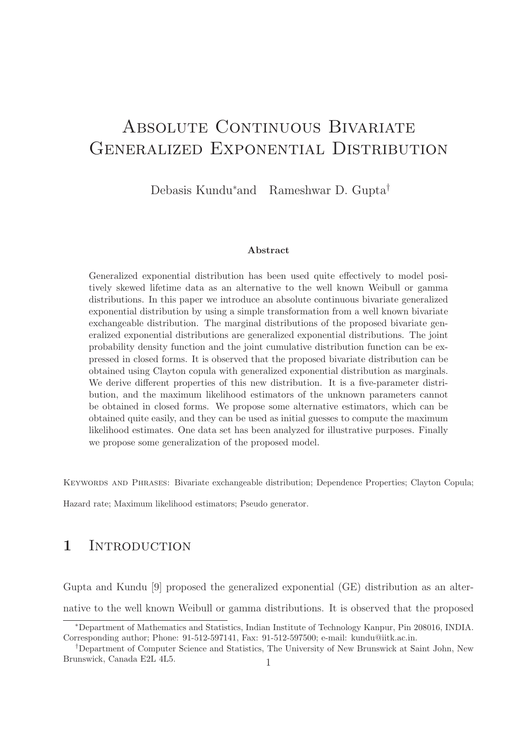# ABSOLUTE CONTINUOUS BIVARIATE Generalized Exponential Distribution

Debasis Kundu∗and Rameshwar D. Gupta†

#### Abstract

Generalized exponential distribution has been used quite effectively to model positively skewed lifetime data as an alternative to the well known Weibull or gamma distributions. In this paper we introduce an absolute continuous bivariate generalized exponential distribution by using a simple transformation from a well known bivariate exchangeable distribution. The marginal distributions of the proposed bivariate generalized exponential distributions are generalized exponential distributions. The joint probability density function and the joint cumulative distribution function can be expressed in closed forms. It is observed that the proposed bivariate distribution can be obtained using Clayton copula with generalized exponential distribution as marginals. We derive different properties of this new distribution. It is a five-parameter distribution, and the maximum likelihood estimators of the unknown parameters cannot be obtained in closed forms. We propose some alternative estimators, which can be obtained quite easily, and they can be used as initial guesses to compute the maximum likelihood estimates. One data set has been analyzed for illustrative purposes. Finally we propose some generalization of the proposed model.

Keywords and Phrases: Bivariate exchangeable distribution; Dependence Properties; Clayton Copula;

Hazard rate; Maximum likelihood estimators; Pseudo generator.

### 1 INTRODUCTION

Gupta and Kundu [9] proposed the generalized exponential (GE) distribution as an alternative to the well known Weibull or gamma distributions. It is observed that the proposed

<sup>∗</sup>Department of Mathematics and Statistics, Indian Institute of Technology Kanpur, Pin 208016, INDIA. Corresponding author; Phone: 91-512-597141, Fax: 91-512-597500; e-mail: kundu@iitk.ac.in.

<sup>†</sup>Department of Computer Science and Statistics, The University of New Brunswick at Saint John, New Brunswick, Canada E2L 4L5.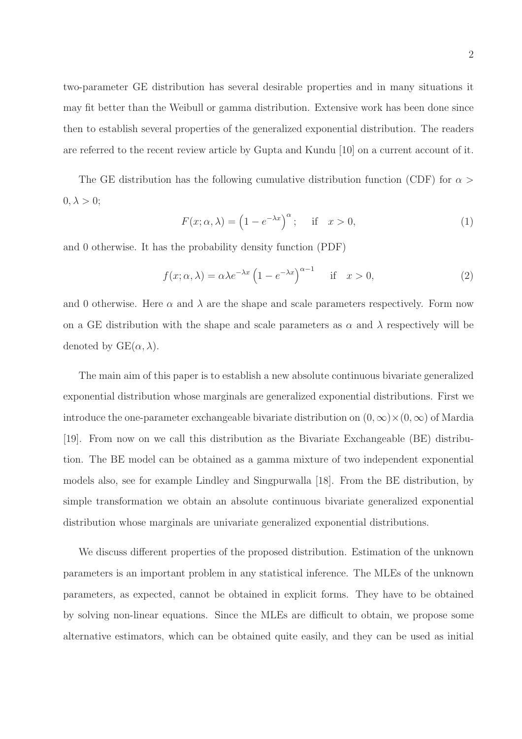two-parameter GE distribution has several desirable properties and in many situations it may fit better than the Weibull or gamma distribution. Extensive work has been done since then to establish several properties of the generalized exponential distribution. The readers are referred to the recent review article by Gupta and Kundu [10] on a current account of it.

The GE distribution has the following cumulative distribution function (CDF) for  $\alpha >$  $0, \lambda > 0;$ 

$$
F(x; \alpha, \lambda) = \left(1 - e^{-\lambda x}\right)^{\alpha}; \quad \text{if} \quad x > 0,
$$
 (1)

and 0 otherwise. It has the probability density function (PDF)

$$
f(x; \alpha, \lambda) = \alpha \lambda e^{-\lambda x} \left( 1 - e^{-\lambda x} \right)^{\alpha - 1} \quad \text{if} \quad x > 0,
$$
 (2)

and 0 otherwise. Here  $\alpha$  and  $\lambda$  are the shape and scale parameters respectively. Form now on a GE distribution with the shape and scale parameters as  $\alpha$  and  $\lambda$  respectively will be denoted by  $GE(\alpha, \lambda)$ .

The main aim of this paper is to establish a new absolute continuous bivariate generalized exponential distribution whose marginals are generalized exponential distributions. First we introduce the one-parameter exchangeable bivariate distribution on  $(0, \infty) \times (0, \infty)$  of Mardia [19]. From now on we call this distribution as the Bivariate Exchangeable (BE) distribution. The BE model can be obtained as a gamma mixture of two independent exponential models also, see for example Lindley and Singpurwalla [18]. From the BE distribution, by simple transformation we obtain an absolute continuous bivariate generalized exponential distribution whose marginals are univariate generalized exponential distributions.

We discuss different properties of the proposed distribution. Estimation of the unknown parameters is an important problem in any statistical inference. The MLEs of the unknown parameters, as expected, cannot be obtained in explicit forms. They have to be obtained by solving non-linear equations. Since the MLEs are difficult to obtain, we propose some alternative estimators, which can be obtained quite easily, and they can be used as initial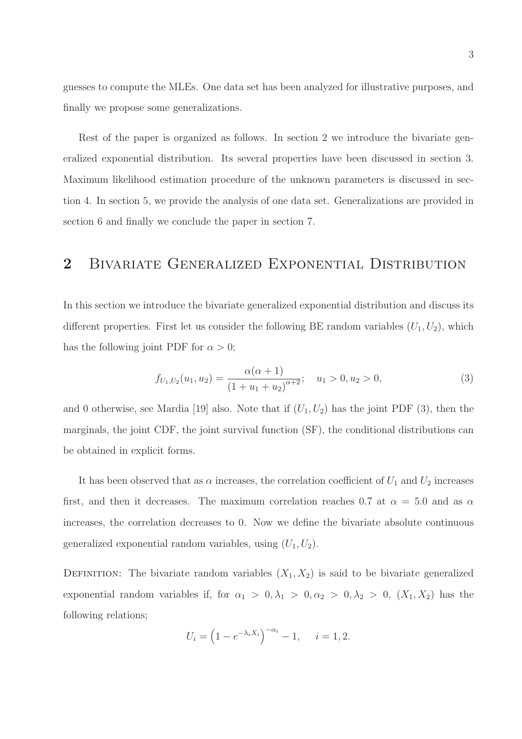guesses to compute the MLEs. One data set has been analyzed for illustrative purposes, and finally we propose some generalizations.

Rest of the paper is organized as follows. In section 2 we introduce the bivariate generalized exponential distribution. Its several properties have been discussed in section 3. Maximum likelihood estimation procedure of the unknown parameters is discussed in section 4. In section 5, we provide the analysis of one data set. Generalizations are provided in section 6 and finally we conclude the paper in section 7.

### 2 Bivariate Generalized Exponential Distribution

In this section we introduce the bivariate generalized exponential distribution and discuss its different properties. First let us consider the following BE random variables  $(U_1, U_2)$ , which has the following joint PDF for  $\alpha > 0$ ;

$$
f_{U_1,U_2}(u_1, u_2) = \frac{\alpha(\alpha+1)}{(1+u_1+u_2)^{\alpha+2}}; \quad u_1 > 0, u_2 > 0,
$$
\n(3)

and 0 otherwise, see Mardia [19] also. Note that if  $(U_1, U_2)$  has the joint PDF (3), then the marginals, the joint CDF, the joint survival function (SF), the conditional distributions can be obtained in explicit forms.

It has been observed that as  $\alpha$  increases, the correlation coefficient of  $U_1$  and  $U_2$  increases first, and then it decreases. The maximum correlation reaches 0.7 at  $\alpha = 5.0$  and as  $\alpha$ increases, the correlation decreases to 0. Now we define the bivariate absolute continuous generalized exponential random variables, using  $(U_1, U_2)$ .

DEFINITION: The bivariate random variables  $(X_1, X_2)$  is said to be bivariate generalized exponential random variables if, for  $\alpha_1 > 0, \lambda_1 > 0, \alpha_2 > 0, \lambda_2 > 0$ ,  $(X_1, X_2)$  has the following relations;

$$
U_i = (1 - e^{-\lambda_i X_i})^{-\alpha_i} - 1, \quad i = 1, 2.
$$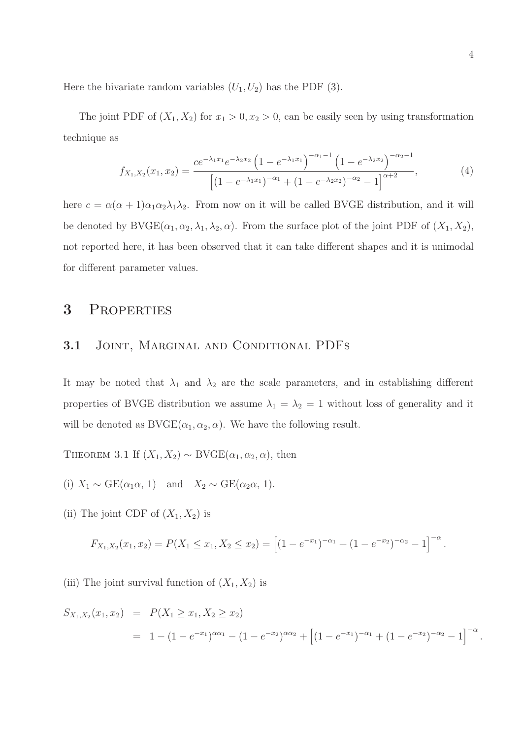Here the bivariate random variables  $(U_1, U_2)$  has the PDF (3).

The joint PDF of  $(X_1, X_2)$  for  $x_1 > 0, x_2 > 0$ , can be easily seen by using transformation technique as

$$
f_{X_1,X_2}(x_1,x_2) = \frac{ce^{-\lambda_1 x_1} e^{-\lambda_2 x_2} \left(1 - e^{-\lambda_1 x_1}\right)^{-\alpha_1 - 1} \left(1 - e^{-\lambda_2 x_2}\right)^{-\alpha_2 - 1}}{\left[\left(1 - e^{-\lambda_1 x_1}\right)^{-\alpha_1} + \left(1 - e^{-\lambda_2 x_2}\right)^{-\alpha_2} - 1\right]^{\alpha + 2}},\tag{4}
$$

here  $c = \alpha(\alpha + 1)\alpha_1\alpha_2\lambda_1\lambda_2$ . From now on it will be called BVGE distribution, and it will be denoted by  $BVGE(\alpha_1, \alpha_2, \lambda_1, \lambda_2, \alpha)$ . From the surface plot of the joint PDF of  $(X_1, X_2)$ , not reported here, it has been observed that it can take different shapes and it is unimodal for different parameter values.

### 3 Properties

#### 3.1 Joint, Marginal and Conditional PDFs

It may be noted that  $\lambda_1$  and  $\lambda_2$  are the scale parameters, and in establishing different properties of BVGE distribution we assume  $\lambda_1 = \lambda_2 = 1$  without loss of generality and it will be denoted as  $\text{BVGE}(\alpha_1, \alpha_2, \alpha)$ . We have the following result.

THEOREM 3.1 If  $(X_1, X_2) \sim \text{BVGE}(\alpha_1, \alpha_2, \alpha)$ , then

- (i)  $X_1 \sim \text{GE}(\alpha_1 \alpha, 1)$  and  $X_2 \sim \text{GE}(\alpha_2 \alpha, 1)$ .
- (ii) The joint CDF of  $(X_1, X_2)$  is

$$
F_{X_1,X_2}(x_1,x_2) = P(X_1 \le x_1, X_2 \le x_2) = \left[ (1 - e^{-x_1})^{-\alpha_1} + (1 - e^{-x_2})^{-\alpha_2} - 1 \right]^{-\alpha}.
$$

(iii) The joint survival function of  $(X_1, X_2)$  is

$$
S_{X_1,X_2}(x_1,x_2) = P(X_1 \ge x_1, X_2 \ge x_2)
$$
  
=  $1 - (1 - e^{-x_1})^{\alpha \alpha_1} - (1 - e^{-x_2})^{\alpha \alpha_2} + [(1 - e^{-x_1})^{-\alpha_1} + (1 - e^{-x_2})^{-\alpha_2} - 1]^{-\alpha}.$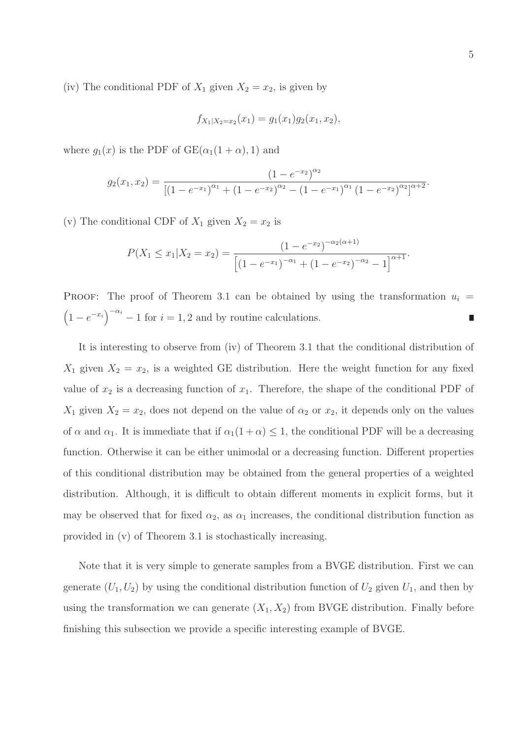(iv) The conditional PDF of  $X_1$  given  $X_2 = x_2$ , is given by

$$
f_{X_1|X_2=x_2}(x_1)=g_1(x_1)g_2(x_1,x_2),
$$

where  $g_1(x)$  is the PDF of  $GE(\alpha_1(1+\alpha), 1)$  and

$$
g_2(x_1,x_2) = \frac{(1 - e^{-x_2})^{\alpha_2}}{\left[ (1 - e^{-x_1})^{\alpha_1} + (1 - e^{-x_2})^{\alpha_2} - (1 - e^{-x_1})^{\alpha_1} (1 - e^{-x_2})^{\alpha_2} \right]^{\alpha_2}^2}.
$$

(v) The conditional CDF of  $X_1$  given  $X_2 = x_2$  is

$$
P(X_1 \le x_1 | X_2 = x_2) = \frac{(1 - e^{-x_2})^{-\alpha_2(\alpha + 1)}}{\left[ (1 - e^{-x_1})^{-\alpha_1} + (1 - e^{-x_2})^{-\alpha_2} - 1 \right]^{\alpha + 1}}.
$$

PROOF: The proof of Theorem 3.1 can be obtained by using the transformation  $u_i =$  $(1 - e^{-x_i})^{-\alpha_i} - 1$  for  $i = 1, 2$  and by routine calculations.  $\Box$ 

It is interesting to observe from (iv) of Theorem 3.1 that the conditional distribution of  $X_1$  given  $X_2 = x_2$ , is a weighted GE distribution. Here the weight function for any fixed value of  $x_2$  is a decreasing function of  $x_1$ . Therefore, the shape of the conditional PDF of  $X_1$  given  $X_2 = x_2$ , does not depend on the value of  $\alpha_2$  or  $x_2$ , it depends only on the values of  $\alpha$  and  $\alpha_1$ . It is immediate that if  $\alpha_1(1+\alpha) \leq 1$ , the conditional PDF will be a decreasing function. Otherwise it can be either unimodal or a decreasing function. Different properties of this conditional distribution may be obtained from the general properties of a weighted distribution. Although, it is difficult to obtain different moments in explicit forms, but it may be observed that for fixed  $\alpha_2$ , as  $\alpha_1$  increases, the conditional distribution function as provided in (v) of Theorem 3.1 is stochastically increasing.

Note that it is very simple to generate samples from a BVGE distribution. First we can generate  $(U_1, U_2)$  by using the conditional distribution function of  $U_2$  given  $U_1$ , and then by using the transformation we can generate  $(X_1, X_2)$  from BVGE distribution. Finally before finishing this subsection we provide a specific interesting example of BVGE.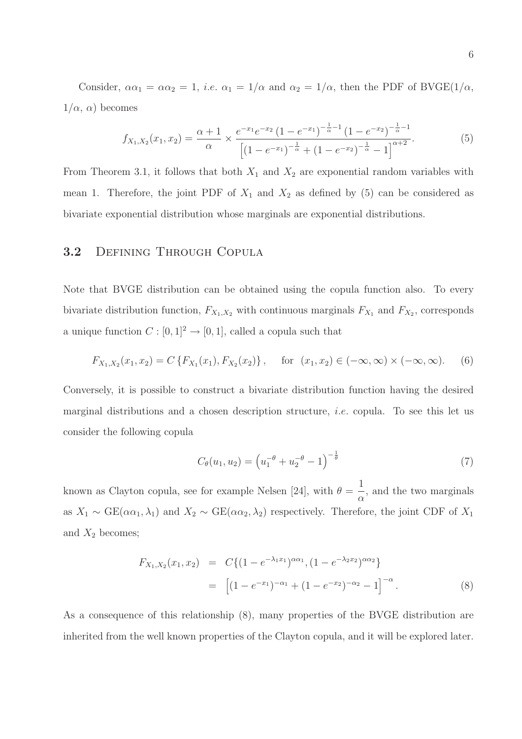Consider,  $\alpha \alpha_1 = \alpha \alpha_2 = 1$ , *i.e.*  $\alpha_1 = 1/\alpha$  and  $\alpha_2 = 1/\alpha$ , then the PDF of BVGE(1/ $\alpha$ ,  $1/\alpha$ ,  $\alpha$ ) becomes

$$
f_{X_1,X_2}(x_1,x_2) = \frac{\alpha+1}{\alpha} \times \frac{e^{-x_1}e^{-x_2}(1-e^{-x_1})^{-\frac{1}{\alpha}-1}(1-e^{-x_2})^{-\frac{1}{\alpha}-1}}{\left[(1-e^{-x_1})^{-\frac{1}{\alpha}}+(1-e^{-x_2})^{-\frac{1}{\alpha}}-1\right]^{\alpha+2}}.
$$
(5)

From Theorem 3.1, it follows that both  $X_1$  and  $X_2$  are exponential random variables with mean 1. Therefore, the joint PDF of  $X_1$  and  $X_2$  as defined by (5) can be considered as bivariate exponential distribution whose marginals are exponential distributions.

#### 3.2 Defining Through Copula

Note that BVGE distribution can be obtained using the copula function also. To every bivariate distribution function,  $F_{X_1,X_2}$  with continuous marginals  $F_{X_1}$  and  $F_{X_2}$ , corresponds a unique function  $C : [0,1]^2 \to [0,1]$ , called a copula such that

$$
F_{X_1,X_2}(x_1,x_2) = C\left\{F_{X_1}(x_1), F_{X_2}(x_2)\right\}, \quad \text{for } (x_1,x_2) \in (-\infty, \infty) \times (-\infty, \infty). \tag{6}
$$

Conversely, it is possible to construct a bivariate distribution function having the desired marginal distributions and a chosen description structure, *i.e.* copula. To see this let us consider the following copula

$$
C_{\theta}(u_1, u_2) = \left(u_1^{-\theta} + u_2^{-\theta} - 1\right)^{-\frac{1}{\theta}}
$$
\n(7)

known as Clayton copula, see for example Nelsen [24], with  $\theta =$ 1 α , and the two marginals as  $X_1 \sim \text{GE}(\alpha \alpha_1, \lambda_1)$  and  $X_2 \sim \text{GE}(\alpha \alpha_2, \lambda_2)$  respectively. Therefore, the joint CDF of  $X_1$ and  $X_2$  becomes;

$$
F_{X_1, X_2}(x_1, x_2) = C\{(1 - e^{-\lambda_1 x_1})^{\alpha \alpha_1}, (1 - e^{-\lambda_2 x_2})^{\alpha \alpha_2}\}\
$$
  
= 
$$
\left[ (1 - e^{-x_1})^{-\alpha_1} + (1 - e^{-x_2})^{-\alpha_2} - 1 \right]^{-\alpha}.
$$
 (8)

As a consequence of this relationship (8), many properties of the BVGE distribution are inherited from the well known properties of the Clayton copula, and it will be explored later.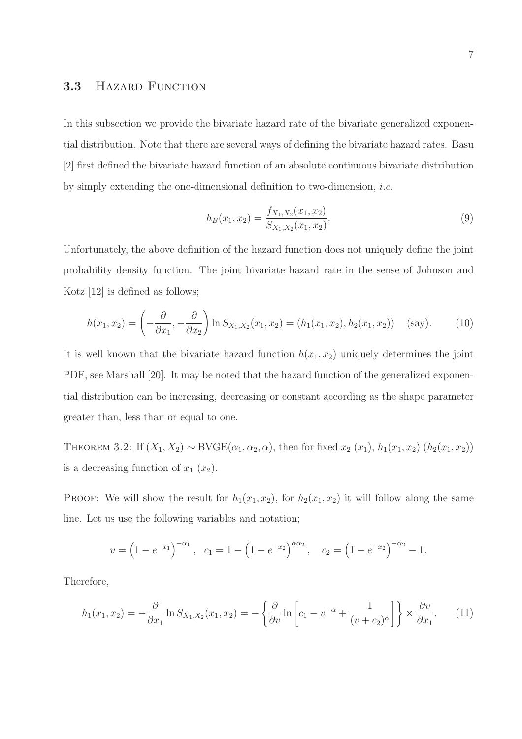#### 3.3 HAZARD FUNCTION

In this subsection we provide the bivariate hazard rate of the bivariate generalized exponential distribution. Note that there are several ways of defining the bivariate hazard rates. Basu [2] first defined the bivariate hazard function of an absolute continuous bivariate distribution by simply extending the one-dimensional definition to two-dimension, *i.e.* 

$$
h_B(x_1, x_2) = \frac{f_{X_1, X_2}(x_1, x_2)}{S_{X_1, X_2}(x_1, x_2)}.
$$
\n(9)

Unfortunately, the above definition of the hazard function does not uniquely define the joint probability density function. The joint bivariate hazard rate in the sense of Johnson and Kotz [12] is defined as follows;

$$
h(x_1, x_2) = \left(-\frac{\partial}{\partial x_1}, -\frac{\partial}{\partial x_2}\right) \ln S_{X_1, X_2}(x_1, x_2) = (h_1(x_1, x_2), h_2(x_1, x_2)) \quad \text{(say)}.
$$
 (10)

It is well known that the bivariate hazard function  $h(x_1, x_2)$  uniquely determines the joint PDF, see Marshall [20]. It may be noted that the hazard function of the generalized exponential distribution can be increasing, decreasing or constant according as the shape parameter greater than, less than or equal to one.

THEOREM 3.2: If  $(X_1, X_2) \sim \text{BVGE}(\alpha_1, \alpha_2, \alpha)$ , then for fixed  $x_2(x_1)$ ,  $h_1(x_1, x_2)$   $(h_2(x_1, x_2))$ is a decreasing function of  $x_1(x_2)$ .

PROOF: We will show the result for  $h_1(x_1, x_2)$ , for  $h_2(x_1, x_2)$  it will follow along the same line. Let us use the following variables and notation;

$$
v = (1 - e^{-x_1})^{-\alpha_1}
$$
,  $c_1 = 1 - (1 - e^{-x_2})^{\alpha \alpha_2}$ ,  $c_2 = (1 - e^{-x_2})^{-\alpha_2} - 1$ .

Therefore,

$$
h_1(x_1, x_2) = -\frac{\partial}{\partial x_1} \ln S_{X_1, X_2}(x_1, x_2) = -\left\{ \frac{\partial}{\partial v} \ln \left[ c_1 - v^{-\alpha} + \frac{1}{(v + c_2)^{\alpha}} \right] \right\} \times \frac{\partial v}{\partial x_1}.
$$
 (11)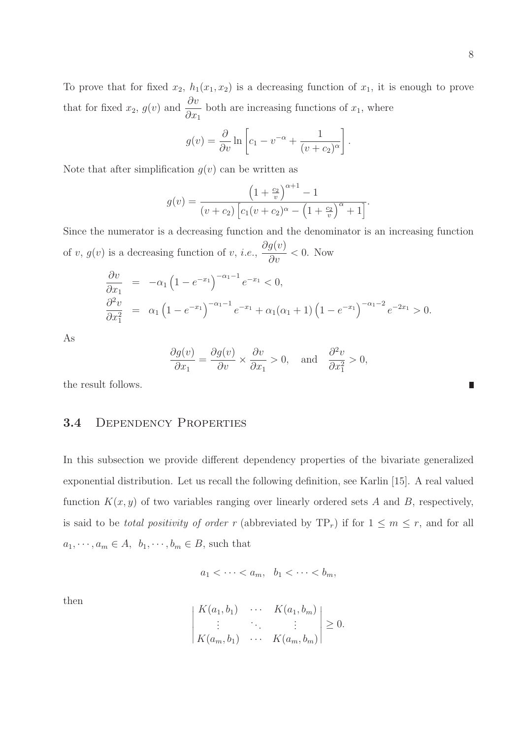$$
g(v) = \frac{\partial}{\partial v} \ln \left[ c_1 - v^{-\alpha} + \frac{1}{(v + c_2)^{\alpha}} \right].
$$

Note that after simplification  $g(v)$  can be written as

$$
g(v) = \frac{\left(1 + \frac{c_2}{v}\right)^{\alpha + 1} - 1}{(v + c_2) \left[c_1(v + c_2)^\alpha - \left(1 + \frac{c_2}{v}\right)^\alpha + 1\right]}.
$$

Since the numerator is a decreasing function and the denominator is an increasing function of  $v, g(v)$  is a decreasing function of  $v, i.e.,$  $\partial g(v)$  $\frac{\partial^2 v}{\partial v}$  < 0. Now

$$
\frac{\partial v}{\partial x_1} = -\alpha_1 \left( 1 - e^{-x_1} \right)^{-\alpha_1 - 1} e^{-x_1} < 0, \\
\frac{\partial^2 v}{\partial x_1^2} = \alpha_1 \left( 1 - e^{-x_1} \right)^{-\alpha_1 - 1} e^{-x_1} + \alpha_1 (\alpha_1 + 1) \left( 1 - e^{-x_1} \right)^{-\alpha_1 - 2} e^{-2x_1} > 0.
$$

As

$$
\frac{\partial g(v)}{\partial x_1} = \frac{\partial g(v)}{\partial v} \times \frac{\partial v}{\partial x_1} > 0, \text{ and } \frac{\partial^2 v}{\partial x_1^2} > 0,
$$

the result follows.

#### 3.4 DEPENDENCY PROPERTIES

In this subsection we provide different dependency properties of the bivariate generalized exponential distribution. Let us recall the following definition, see Karlin [15]. A real valued function  $K(x, y)$  of two variables ranging over linearly ordered sets A and B, respectively, is said to be *total positivity of order* r (abbreviated by  $TP_r$ ) if for  $1 \leq m \leq r$ , and for all  $a_1, \dots, a_m \in A$ ,  $b_1, \dots, b_m \in B$ , such that

$$
a_1 < \cdots < a_m, \quad b_1 < \cdots < b_m,
$$

then

$$
\begin{vmatrix} K(a_1, b_1) & \cdots & K(a_1, b_m) \\ \vdots & \ddots & \vdots \\ K(a_m, b_1) & \cdots & K(a_m, b_m) \end{vmatrix} \geq 0.
$$

П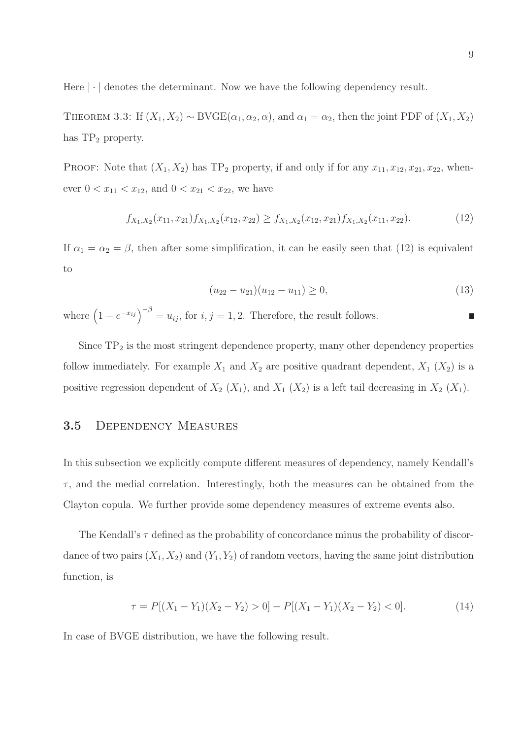Here  $|\cdot|$  denotes the determinant. Now we have the following dependency result.

THEOREM 3.3: If  $(X_1, X_2) \sim \text{BVGE}(\alpha_1, \alpha_2, \alpha)$ , and  $\alpha_1 = \alpha_2$ , then the joint PDF of  $(X_1, X_2)$ has  $TP_2$  property.

PROOF: Note that  $(X_1, X_2)$  has TP<sub>2</sub> property, if and only if for any  $x_{11}, x_{12}, x_{21}, x_{22}$ , whenever  $0 < x_{11} < x_{12}$ , and  $0 < x_{21} < x_{22}$ , we have

$$
f_{X_1,X_2}(x_{11}, x_{21})f_{X_1,X_2}(x_{12}, x_{22}) \ge f_{X_1,X_2}(x_{12}, x_{21})f_{X_1,X_2}(x_{11}, x_{22}).
$$
\n(12)

If  $\alpha_1 = \alpha_2 = \beta$ , then after some simplification, it can be easily seen that (12) is equivalent to

$$
(u_{22} - u_{21})(u_{12} - u_{11}) \ge 0,\t\t(13)
$$

where  $(1 - e^{-x_{ij}})^{-\beta} = u_{ij}$ , for  $i, j = 1, 2$ . Therefore, the result follows. П

Since  $TP_2$  is the most stringent dependence property, many other dependency properties follow immediately. For example  $X_1$  and  $X_2$  are positive quadrant dependent,  $X_1$   $(X_2)$  is a positive regression dependent of  $X_2$  ( $X_1$ ), and  $X_1$  ( $X_2$ ) is a left tail decreasing in  $X_2$  ( $X_1$ ).

#### 3.5 Dependency Measures

In this subsection we explicitly compute different measures of dependency, namely Kendall's  $\tau$ , and the medial correlation. Interestingly, both the measures can be obtained from the Clayton copula. We further provide some dependency measures of extreme events also.

The Kendall's  $\tau$  defined as the probability of concordance minus the probability of discordance of two pairs  $(X_1, X_2)$  and  $(Y_1, Y_2)$  of random vectors, having the same joint distribution function, is

$$
\tau = P[(X_1 - Y_1)(X_2 - Y_2) > 0] - P[(X_1 - Y_1)(X_2 - Y_2) < 0].
$$
\n(14)

In case of BVGE distribution, we have the following result.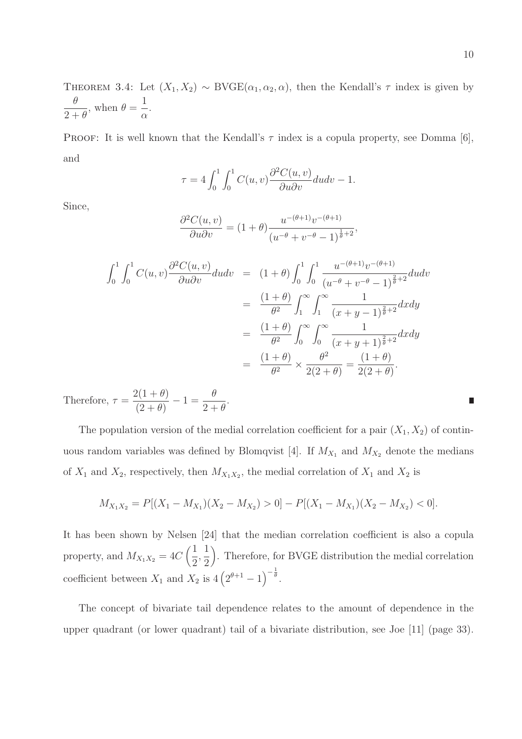THEOREM 3.4: Let  $(X_1, X_2) \sim \text{BVGE}(\alpha_1, \alpha_2, \alpha)$ , then the Kendall's  $\tau$  index is given by θ  $2+\theta$ , when  $\theta =$ 1 α .

PROOF: It is well known that the Kendall's  $\tau$  index is a copula property, see Domma [6], and

$$
\tau = 4 \int_0^1 \int_0^1 C(u, v) \frac{\partial^2 C(u, v)}{\partial u \partial v} du dv - 1.
$$

Since,

$$
\frac{\partial^2 C(u, v)}{\partial u \partial v} = (1 + \theta) \frac{u^{-(\theta + 1)} v^{-(\theta + 1)}}{(u^{-\theta} + v^{-\theta} - 1)^{\frac{1}{\theta} + 2}},
$$

$$
\int_{0}^{1} \int_{0}^{1} C(u,v) \frac{\partial^{2} C(u,v)}{\partial u \partial v} du dv = (1+\theta) \int_{0}^{1} \int_{0}^{1} \frac{u^{-(\theta+1)} v^{-(\theta+1)}}{(u^{-\theta} + v^{-\theta} - 1)^{\frac{2}{\theta}+2}} du dv
$$
  

$$
= \frac{(1+\theta)}{\theta^{2}} \int_{1}^{\infty} \int_{1}^{\infty} \frac{1}{(x+y-1)^{\frac{2}{\theta}+2}} dx dy
$$
  

$$
= \frac{(1+\theta)}{\theta^{2}} \int_{0}^{\infty} \int_{0}^{\infty} \frac{1}{(x+y+1)^{\frac{2}{\theta}+2}} dx dy
$$
  

$$
= \frac{(1+\theta)}{\theta^{2}} \times \frac{\theta^{2}}{2(2+\theta)} = \frac{(1+\theta)}{2(2+\theta)}.
$$

Therefore,  $\tau =$  $2(1+\theta)$  $\frac{1}{(2 + \theta)} - 1 =$ θ  $2+\theta$ .

The population version of the medial correlation coefficient for a pair  $(X_1, X_2)$  of continuous random variables was defined by Blomqvist [4]. If  $M_{X_1}$  and  $M_{X_2}$  denote the medians of  $X_1$  and  $X_2$ , respectively, then  $M_{X_1X_2}$ , the medial correlation of  $X_1$  and  $X_2$  is

$$
M_{X_1X_2} = P[(X_1 - M_{X_1})(X_2 - M_{X_2}) > 0] - P[(X_1 - M_{X_1})(X_2 - M_{X_2}) < 0].
$$

It has been shown by Nelsen [24] that the median correlation coefficient is also a copula property, and  $M_{X_1X_2} = 4C\left(\frac{1}{2}\right)$ 2 , 1 2 . Therefore, for BVGE distribution the medial correlation coefficient between  $X_1$  and  $X_2$  is  $4\left(2^{\theta+1}-1\right)^{-\frac{1}{\theta}}$ .

The concept of bivariate tail dependence relates to the amount of dependence in the upper quadrant (or lower quadrant) tail of a bivariate distribution, see Joe [11] (page 33).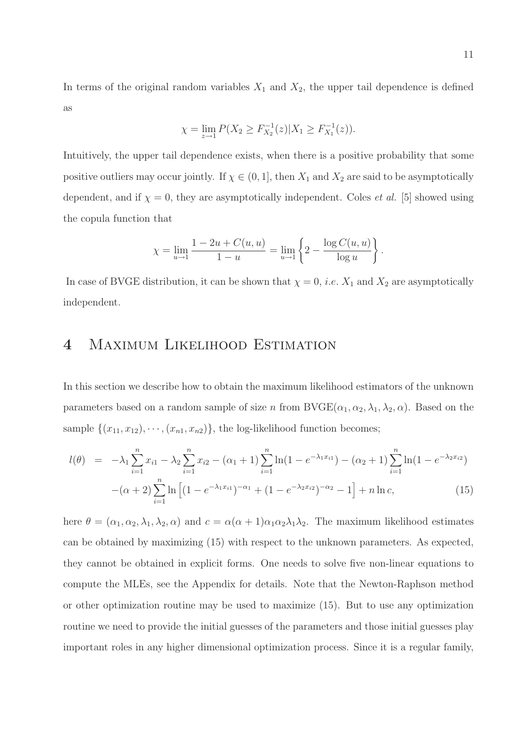In terms of the original random variables  $X_1$  and  $X_2$ , the upper tail dependence is defined as

$$
\chi = \lim_{z \to 1} P(X_2 \ge F_{X_2}^{-1}(z) | X_1 \ge F_{X_1}^{-1}(z)).
$$

Intuitively, the upper tail dependence exists, when there is a positive probability that some positive outliers may occur jointly. If  $\chi \in (0,1]$ , then  $X_1$  and  $X_2$  are said to be asymptotically dependent, and if  $\chi = 0$ , they are asymptotically independent. Coles *et al.* [5] showed using the copula function that

$$
\chi = \lim_{u \to 1} \frac{1 - 2u + C(u, u)}{1 - u} = \lim_{u \to 1} \left\{ 2 - \frac{\log C(u, u)}{\log u} \right\}.
$$

In case of BVGE distribution, it can be shown that  $\chi = 0$ , *i.e.*  $X_1$  and  $X_2$  are asymptotically independent.

### 4 Maximum Likelihood Estimation

In this section we describe how to obtain the maximum likelihood estimators of the unknown parameters based on a random sample of size n from  $BVGE(\alpha_1, \alpha_2, \lambda_1, \lambda_2, \alpha)$ . Based on the sample  $\{(x_{11}, x_{12}), \cdots, (x_{n1}, x_{n2})\}$ , the log-likelihood function becomes;

$$
l(\theta) = -\lambda_1 \sum_{i=1}^n x_{i1} - \lambda_2 \sum_{i=1}^n x_{i2} - (\alpha_1 + 1) \sum_{i=1}^n \ln(1 - e^{-\lambda_1 x_{i1}}) - (\alpha_2 + 1) \sum_{i=1}^n \ln(1 - e^{-\lambda_2 x_{i2}})
$$

$$
-(\alpha + 2) \sum_{i=1}^n \ln\left[(1 - e^{-\lambda_1 x_{i1}})^{-\alpha_1} + (1 - e^{-\lambda_2 x_{i2}})^{-\alpha_2} - 1\right] + n \ln c,
$$
(15)

here  $\theta = (\alpha_1, \alpha_2, \lambda_1, \lambda_2, \alpha)$  and  $c = \alpha(\alpha + 1)\alpha_1\alpha_2\lambda_1\lambda_2$ . The maximum likelihood estimates can be obtained by maximizing (15) with respect to the unknown parameters. As expected, they cannot be obtained in explicit forms. One needs to solve five non-linear equations to compute the MLEs, see the Appendix for details. Note that the Newton-Raphson method or other optimization routine may be used to maximize (15). But to use any optimization routine we need to provide the initial guesses of the parameters and those initial guesses play important roles in any higher dimensional optimization process. Since it is a regular family,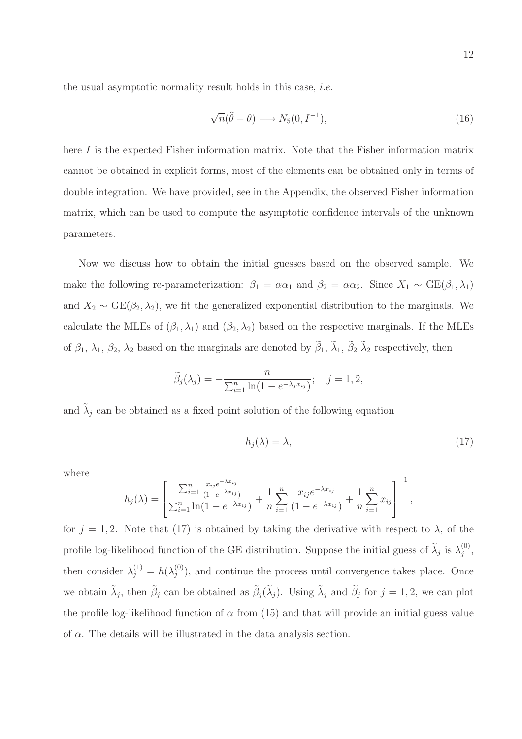the usual asymptotic normality result holds in this case, i.e.

$$
\sqrt{n}(\hat{\theta} - \theta) \longrightarrow N_5(0, I^{-1}), \qquad (16)
$$

here I is the expected Fisher information matrix. Note that the Fisher information matrix cannot be obtained in explicit forms, most of the elements can be obtained only in terms of double integration. We have provided, see in the Appendix, the observed Fisher information matrix, which can be used to compute the asymptotic confidence intervals of the unknown parameters.

Now we discuss how to obtain the initial guesses based on the observed sample. We make the following re-parameterization:  $\beta_1 = \alpha \alpha_1$  and  $\beta_2 = \alpha \alpha_2$ . Since  $X_1 \sim \text{GE}(\beta_1, \lambda_1)$ and  $X_2 \sim \text{GE}(\beta_2, \lambda_2)$ , we fit the generalized exponential distribution to the marginals. We calculate the MLEs of  $(\beta_1, \lambda_1)$  and  $(\beta_2, \lambda_2)$  based on the respective marginals. If the MLEs of  $\beta_1$ ,  $\lambda_1$ ,  $\beta_2$ ,  $\lambda_2$  based on the marginals are denoted by  $\beta_1$ ,  $\lambda_1$ ,  $\beta_2$   $\lambda_2$  respectively, then

$$
\widetilde{\beta}_j(\lambda_j) = -\frac{n}{\sum_{i=1}^n \ln(1 - e^{-\lambda_j x_{ij}})}; \quad j = 1, 2,
$$

and  $\tilde{\lambda}_j$  can be obtained as a fixed point solution of the following equation

$$
h_j(\lambda) = \lambda,\tag{17}
$$

,

where

$$
h_j(\lambda) = \left[ \frac{\sum_{i=1}^n \frac{x_{ij}e^{-\lambda x_{ij}}}{(1 - e^{-\lambda x_{ij}})}}{\sum_{i=1}^n \ln(1 - e^{-\lambda x_{ij}})} + \frac{1}{n} \sum_{i=1}^n \frac{x_{ij}e^{-\lambda x_{ij}}}{(1 - e^{-\lambda x_{ij}})} + \frac{1}{n} \sum_{i=1}^n x_{ij} \right]^{-1}
$$

for  $j = 1, 2$ . Note that (17) is obtained by taking the derivative with respect to  $\lambda$ , of the profile log-likelihood function of the GE distribution. Suppose the initial guess of  $\tilde{\lambda}_j$  is  $\lambda_j^{(0)}$  $\binom{0}{j}$ , then consider  $\lambda_j^{(1)} = h(\lambda_j^{(0)})$  $j^{(0)}$ , and continue the process until convergence takes place. Once we obtain  $\lambda_j$ , then  $\beta_j$  can be obtained as  $\beta_j(\lambda_j)$ . Using  $\lambda_j$  and  $\beta_j$  for  $j = 1, 2$ , we can plot the profile log-likelihood function of  $\alpha$  from (15) and that will provide an initial guess value of  $\alpha$ . The details will be illustrated in the data analysis section.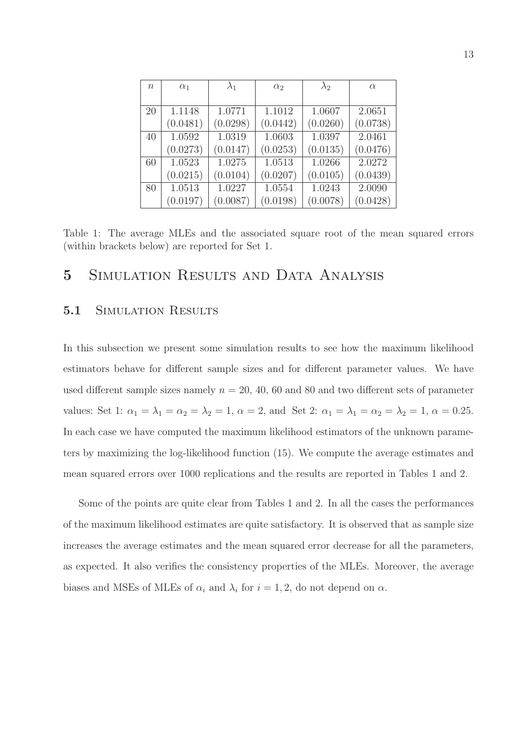| $n_{\rm}$ | $\alpha_1$ | $\lambda_1$ | $\alpha_2$ | $\lambda_2$ | $\alpha$ |
|-----------|------------|-------------|------------|-------------|----------|
|           |            |             |            |             |          |
| 20        | 1.1148     | 1.0771      | 1.1012     | 1.0607      | 2.0651   |
|           | (0.0481)   | (0.0298)    | (0.0442)   | (0.0260)    | (0.0738) |
| 40        | 1.0592     | 1.0319      | 1.0603     | 1.0397      | 2.0461   |
|           | (0.0273)   | (0.0147)    | (0.0253)   | (0.0135)    | (0.0476) |
| 60        | 1.0523     | 1.0275      | 1.0513     | 1.0266      | 2.0272   |
|           | (0.0215)   | (0.0104)    | (0.0207)   | (0.0105)    | (0.0439) |
| 80        | 1.0513     | 1.0227      | 1.0554     | 1.0243      | 2.0090   |
|           | (0.0197)   | (0.0087)    | (0.0198)   | (0.0078)    | (0.0428) |

Table 1: The average MLEs and the associated square root of the mean squared errors (within brackets below) are reported for Set 1.

### 5 Simulation Results and Data Analysis

#### 5.1 SIMULATION RESULTS

In this subsection we present some simulation results to see how the maximum likelihood estimators behave for different sample sizes and for different parameter values. We have used different sample sizes namely  $n = 20, 40, 60$  and 80 and two different sets of parameter values: Set 1:  $\alpha_1 = \lambda_1 = \alpha_2 = \lambda_2 = 1$ ,  $\alpha = 2$ , and Set 2:  $\alpha_1 = \lambda_1 = \alpha_2 = \lambda_2 = 1$ ,  $\alpha = 0.25$ . In each case we have computed the maximum likelihood estimators of the unknown parameters by maximizing the log-likelihood function (15). We compute the average estimates and mean squared errors over 1000 replications and the results are reported in Tables 1 and 2.

Some of the points are quite clear from Tables 1 and 2. In all the cases the performances of the maximum likelihood estimates are quite satisfactory. It is observed that as sample size increases the average estimates and the mean squared error decrease for all the parameters, as expected. It also verifies the consistency properties of the MLEs. Moreover, the average biases and MSEs of MLEs of  $\alpha_i$  and  $\lambda_i$  for  $i = 1, 2$ , do not depend on  $\alpha$ .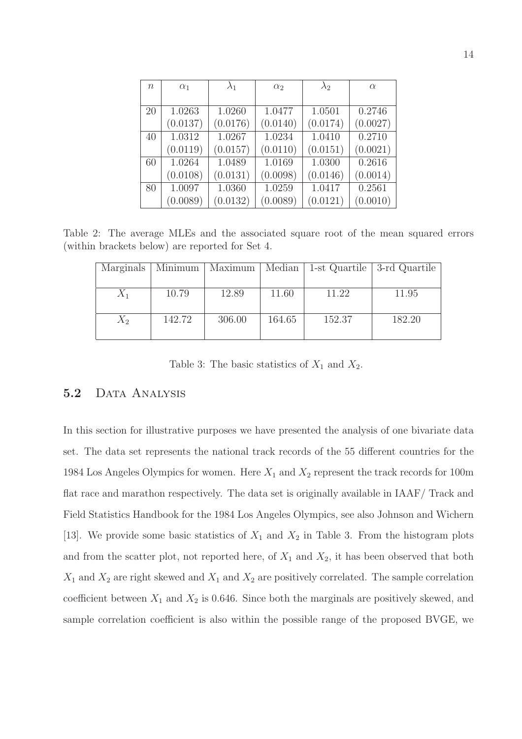| $\, n$ | $\alpha_1$ | $\lambda_1$ | $\alpha_2$ | $\lambda_2$ | $\alpha$ |
|--------|------------|-------------|------------|-------------|----------|
|        |            |             |            |             |          |
| 20     | 1.0263     | 1.0260      | 1.0477     | 1.0501      | 0.2746   |
|        | (0.0137)   | (0.0176)    | (0.0140)   | (0.0174)    | (0.0027) |
| 40     | 1.0312     | 1.0267      | 1.0234     | 1.0410      | 0.2710   |
|        | (0.0119)   | (0.0157)    | (0.0110)   | (0.0151)    | (0.0021) |
| 60     | 1.0264     | 1.0489      | 1.0169     | 1.0300      | 0.2616   |
|        | (0.0108)   | (0.0131)    | (0.0098)   | (0.0146)    | (0.0014) |
| 80     | 1.0097     | 1.0360      | 1.0259     | 1.0417      | 0.2561   |
|        | (0.0089)   | (0.0132)    | (0.0089)   | (0.0121)    | (0.0010) |

Table 2: The average MLEs and the associated square root of the mean squared errors (within brackets below) are reported for Set 4.

| Marginals | Minimum <sup>1</sup> | Maximum | Median $\parallel$ |        | 1-st Quartile   3-rd Quartile |
|-----------|----------------------|---------|--------------------|--------|-------------------------------|
|           |                      |         |                    |        |                               |
| $X_1$     | 10.79                | 12.89   | 11.60              | 11.22  | 11.95                         |
|           |                      |         |                    |        |                               |
| $X_2$     | 142.72               | 306.00  | 164.65             | 152.37 | 182.20                        |
|           |                      |         |                    |        |                               |

Table 3: The basic statistics of  $X_1$  and  $X_2$ .

#### 5.2 DATA ANALYSIS

In this section for illustrative purposes we have presented the analysis of one bivariate data set. The data set represents the national track records of the 55 different countries for the 1984 Los Angeles Olympics for women. Here  $X_1$  and  $X_2$  represent the track records for 100m flat race and marathon respectively. The data set is originally available in IAAF/ Track and Field Statistics Handbook for the 1984 Los Angeles Olympics, see also Johnson and Wichern [13]. We provide some basic statistics of  $X_1$  and  $X_2$  in Table 3. From the histogram plots and from the scatter plot, not reported here, of  $X_1$  and  $X_2$ , it has been observed that both  $X_1$  and  $X_2$  are right skewed and  $X_1$  and  $X_2$  are positively correlated. The sample correlation coefficient between  $X_1$  and  $X_2$  is 0.646. Since both the marginals are positively skewed, and sample correlation coefficient is also within the possible range of the proposed BVGE, we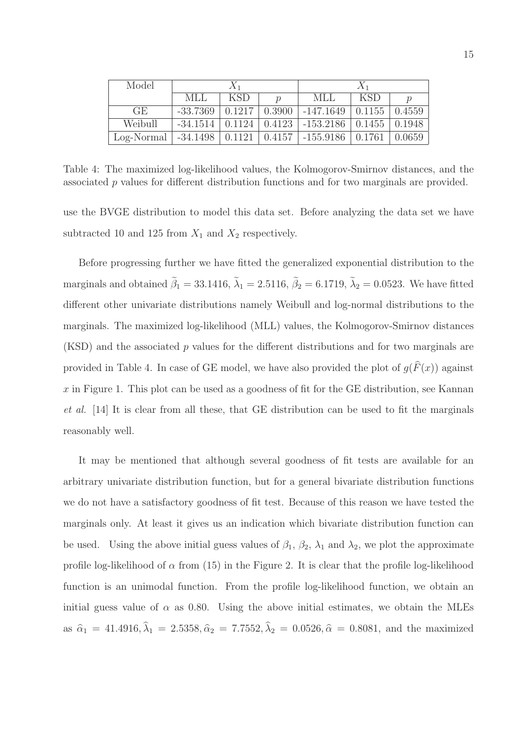| Model      | $X_1$               |            |                    | $X_1$                                           |              |        |
|------------|---------------------|------------|--------------------|-------------------------------------------------|--------------|--------|
|            | MLL                 | <b>KSD</b> |                    | MLL                                             | <b>KSD</b>   |        |
| GE.        | $-33.7369$          | 0.1217     | 0.3900             | -147.1649                                       | $\pm 0.1155$ | 0.4559 |
| Weibull    | $-34.1514$          |            |                    | $0.1124 \mid 0.4123 \mid -153.2186 \mid 0.1455$ |              | 0.1948 |
| Log-Normal | $-34.1498$   0.1121 |            | $\mid 0.4157 \mid$ | -155.9186                                       | 0.1761       | 0.0659 |

Table 4: The maximized log-likelihood values, the Kolmogorov-Smirnov distances, and the associated p values for different distribution functions and for two marginals are provided.

use the BVGE distribution to model this data set. Before analyzing the data set we have subtracted 10 and 125 from  $X_1$  and  $X_2$  respectively.

Before progressing further we have fitted the generalized exponential distribution to the marginals and obtained  $\tilde{\beta}_1 = 33.1416$ ,  $\tilde{\lambda}_1 = 2.5116$ ,  $\tilde{\beta}_2 = 6.1719$ ,  $\tilde{\lambda}_2 = 0.0523$ . We have fitted different other univariate distributions namely Weibull and log-normal distributions to the marginals. The maximized log-likelihood (MLL) values, the Kolmogorov-Smirnov distances (KSD) and the associated p values for the different distributions and for two marginals are provided in Table 4. In case of GE model, we have also provided the plot of  $g(F(x))$  against  $x$  in Figure 1. This plot can be used as a goodness of fit for the GE distribution, see Kannan et al. [14] It is clear from all these, that GE distribution can be used to fit the marginals reasonably well.

It may be mentioned that although several goodness of fit tests are available for an arbitrary univariate distribution function, but for a general bivariate distribution functions we do not have a satisfactory goodness of fit test. Because of this reason we have tested the marginals only. At least it gives us an indication which bivariate distribution function can be used. Using the above initial guess values of  $\beta_1$ ,  $\beta_2$ ,  $\lambda_1$  and  $\lambda_2$ , we plot the approximate profile log-likelihood of  $\alpha$  from (15) in the Figure 2. It is clear that the profile log-likelihood function is an unimodal function. From the profile log-likelihood function, we obtain an initial guess value of  $\alpha$  as 0.80. Using the above initial estimates, we obtain the MLEs as  $\hat{\alpha}_1 = 41.4916, \lambda_1 = 2.5358, \hat{\alpha}_2 = 7.7552, \lambda_2 = 0.0526, \hat{\alpha} = 0.8081$ , and the maximized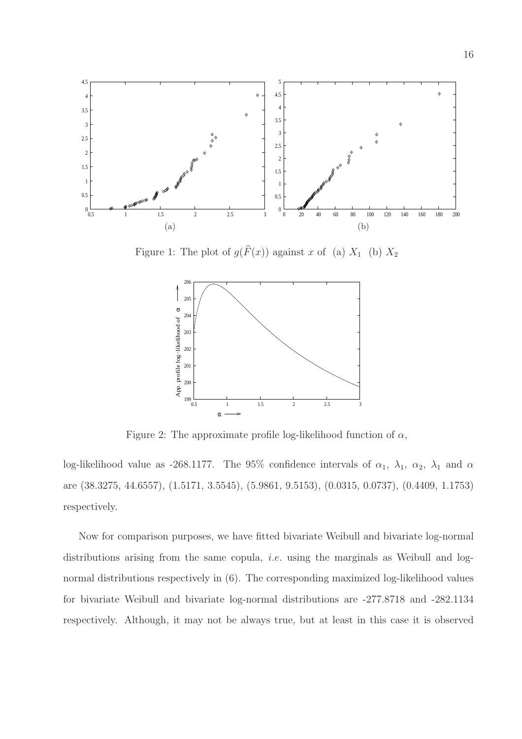

Figure 1: The plot of  $g(F(x))$  against x of (a)  $X_1$  (b)  $X_2$ 



Figure 2: The approximate profile log-likelihood function of  $\alpha$ ,

log-likelihood value as -268.1177. The 95% confidence intervals of  $\alpha_1$ ,  $\lambda_1$ ,  $\alpha_2$ ,  $\lambda_1$  and  $\alpha$ are (38.3275, 44.6557), (1.5171, 3.5545), (5.9861, 9.5153), (0.0315, 0.0737), (0.4409, 1.1753) respectively.

Now for comparison purposes, we have fitted bivariate Weibull and bivariate log-normal distributions arising from the same copula, *i.e.* using the marginals as Weibull and lognormal distributions respectively in (6). The corresponding maximized log-likelihood values for bivariate Weibull and bivariate log-normal distributions are -277.8718 and -282.1134 respectively. Although, it may not be always true, but at least in this case it is observed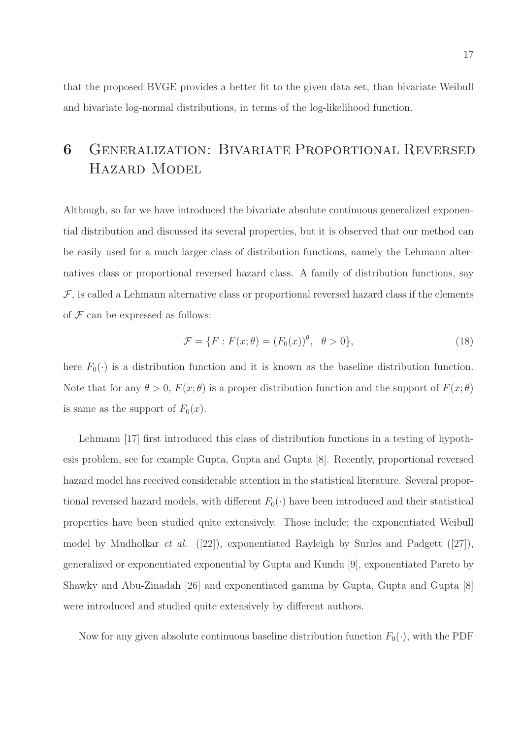that the proposed BVGE provides a better fit to the given data set, than bivariate Weibull and bivariate log-normal distributions, in terms of the log-likelihood function.

## 6 Generalization: Bivariate Proportional Reversed Hazard Model

Although, so far we have introduced the bivariate absolute continuous generalized exponential distribution and discussed its several properties, but it is observed that our method can be easily used for a much larger class of distribution functions, namely the Lehmann alternatives class or proportional reversed hazard class. A family of distribution functions, say  $\mathcal F$ , is called a Lehmann alternative class or proportional reversed hazard class if the elements of  $\mathcal F$  can be expressed as follows:

$$
\mathcal{F} = \{F : F(x; \theta) = (F_0(x))^\theta, \quad \theta > 0\},\tag{18}
$$

here  $F_0(\cdot)$  is a distribution function and it is known as the baseline distribution function. Note that for any  $\theta > 0$ ,  $F(x; \theta)$  is a proper distribution function and the support of  $F(x; \theta)$ is same as the support of  $F_0(x)$ .

Lehmann [17] first introduced this class of distribution functions in a testing of hypothesis problem, see for example Gupta, Gupta and Gupta [8]. Recently, proportional reversed hazard model has received considerable attention in the statistical literature. Several proportional reversed hazard models, with different  $F_0(\cdot)$  have been introduced and their statistical properties have been studied quite extensively. Those include; the exponentiated Weibull model by Mudholkar *et al.* ([22]), exponentiated Rayleigh by Surles and Padgett ([27]), generalized or exponentiated exponential by Gupta and Kundu [9], exponentiated Pareto by Shawky and Abu-Zinadah [26] and exponentiated gamma by Gupta, Gupta and Gupta [8] were introduced and studied quite extensively by different authors.

Now for any given absolute continuous baseline distribution function  $F_0(\cdot)$ , with the PDF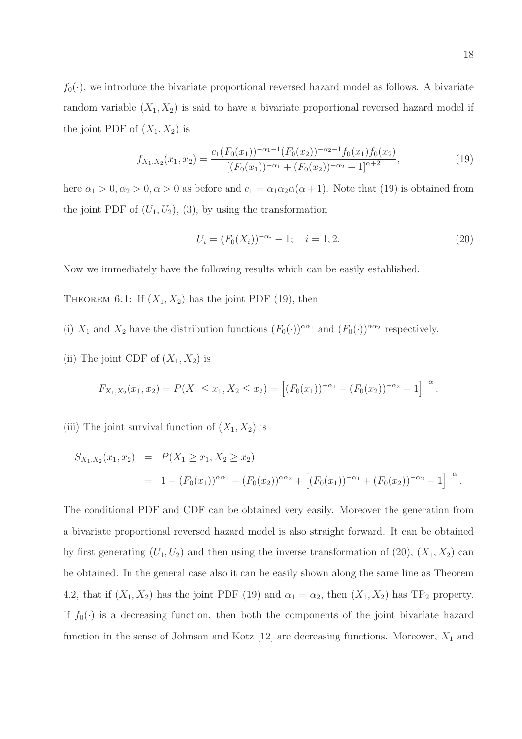18

 $f_0(\cdot)$ , we introduce the bivariate proportional reversed hazard model as follows. A bivariate random variable  $(X_1, X_2)$  is said to have a bivariate proportional reversed hazard model if the joint PDF of  $(X_1, X_2)$  is

$$
f_{X_1,X_2}(x_1,x_2) = \frac{c_1(F_0(x_1))^{-\alpha_1-1}(F_0(x_2))^{-\alpha_2-1}f_0(x_1)f_0(x_2)}{[(F_0(x_1))^{-\alpha_1}+(F_0(x_2))^{-\alpha_2}-1]^{\alpha+2}},
$$
\n(19)

here  $\alpha_1 > 0, \alpha_2 > 0, \alpha > 0$  as before and  $c_1 = \alpha_1 \alpha_2 \alpha(\alpha + 1)$ . Note that (19) is obtained from the joint PDF of  $(U_1, U_2)$ , (3), by using the transformation

$$
U_i = (F_0(X_i))^{-\alpha_i} - 1; \quad i = 1, 2. \tag{20}
$$

Now we immediately have the following results which can be easily established.

THEOREM 6.1: If  $(X_1, X_2)$  has the joint PDF (19), then

- (i)  $X_1$  and  $X_2$  have the distribution functions  $(F_0(\cdot))^{\alpha\alpha_1}$  and  $(F_0(\cdot))^{\alpha\alpha_2}$  respectively.
- (ii) The joint CDF of  $(X_1, X_2)$  is

$$
F_{X_1,X_2}(x_1,x_2)=P(X_1\leq x_1,X_2\leq x_2)=\left[(F_0(x_1))^{-\alpha_1}+(F_0(x_2))^{-\alpha_2}-1\right]^{-\alpha}.
$$

(iii) The joint survival function of  $(X_1, X_2)$  is

$$
S_{X_1,X_2}(x_1,x_2) = P(X_1 \ge x_1, X_2 \ge x_2)
$$
  
=  $1 - (F_0(x_1))^{\alpha \alpha_1} - (F_0(x_2))^{\alpha \alpha_2} + [(F_0(x_1))^{-\alpha_1} + (F_0(x_2))^{-\alpha_2} - 1]^{-\alpha}$ .

The conditional PDF and CDF can be obtained very easily. Moreover the generation from a bivariate proportional reversed hazard model is also straight forward. It can be obtained by first generating  $(U_1, U_2)$  and then using the inverse transformation of (20),  $(X_1, X_2)$  can be obtained. In the general case also it can be easily shown along the same line as Theorem 4.2, that if  $(X_1, X_2)$  has the joint PDF (19) and  $\alpha_1 = \alpha_2$ , then  $(X_1, X_2)$  has TP<sub>2</sub> property. If  $f_0(\cdot)$  is a decreasing function, then both the components of the joint bivariate hazard function in the sense of Johnson and Kotz  $[12]$  are decreasing functions. Moreover,  $X_1$  and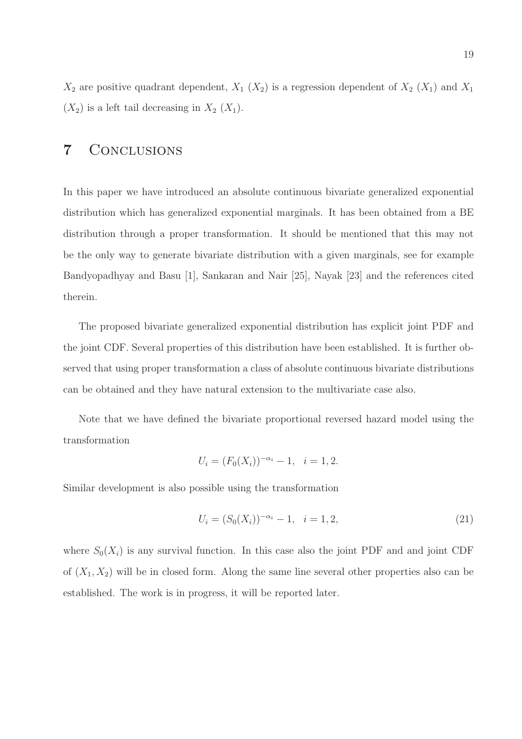$X_2$  are positive quadrant dependent,  $X_1$   $(X_2)$  is a regression dependent of  $X_2$   $(X_1)$  and  $X_1$  $(X_2)$  is a left tail decreasing in  $X_2$   $(X_1)$ .

### 7 Conclusions

In this paper we have introduced an absolute continuous bivariate generalized exponential distribution which has generalized exponential marginals. It has been obtained from a BE distribution through a proper transformation. It should be mentioned that this may not be the only way to generate bivariate distribution with a given marginals, see for example Bandyopadhyay and Basu [1], Sankaran and Nair [25], Nayak [23] and the references cited therein.

The proposed bivariate generalized exponential distribution has explicit joint PDF and the joint CDF. Several properties of this distribution have been established. It is further observed that using proper transformation a class of absolute continuous bivariate distributions can be obtained and they have natural extension to the multivariate case also.

Note that we have defined the bivariate proportional reversed hazard model using the transformation

$$
U_i = (F_0(X_i))^{-\alpha_i} - 1, \quad i = 1, 2.
$$

Similar development is also possible using the transformation

$$
U_i = (S_0(X_i))^{-\alpha_i} - 1, \quad i = 1, 2,
$$
\n(21)

where  $S_0(X_i)$  is any survival function. In this case also the joint PDF and and joint CDF of  $(X_1, X_2)$  will be in closed form. Along the same line several other properties also can be established. The work is in progress, it will be reported later.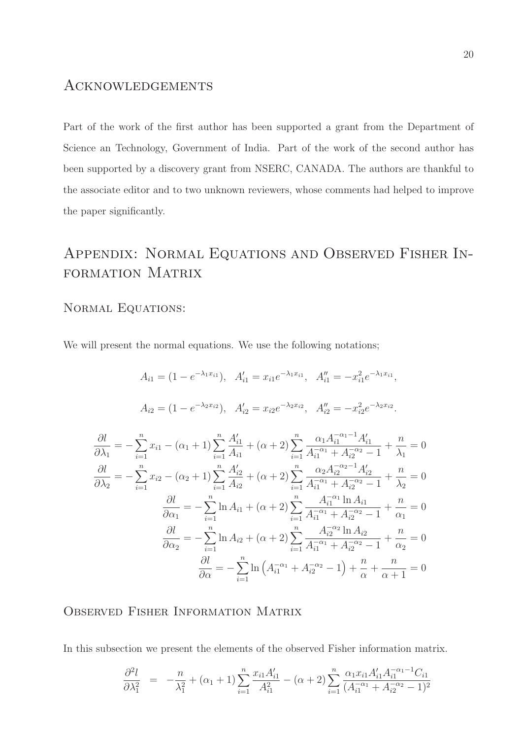### **ACKNOWLEDGEMENTS**

Part of the work of the first author has been supported a grant from the Department of Science an Technology, Government of India. Part of the work of the second author has been supported by a discovery grant from NSERC, CANADA. The authors are thankful to the associate editor and to two unknown reviewers, whose comments had helped to improve the paper significantly.

## Appendix: Normal Equations and Observed Fisher Information Matrix

#### NORMAL EQUATIONS:

We will present the normal equations. We use the following notations;

$$
A_{i1} = (1 - e^{-\lambda_1 x_{i1}}), \quad A'_{i1} = x_{i1}e^{-\lambda_1 x_{i1}}, \quad A''_{i1} = -x_{i1}^2 e^{-\lambda_1 x_{i1}},
$$
  
\n
$$
A_{i2} = (1 - e^{-\lambda_2 x_{i2}}), \quad A'_{i2} = x_{i2}e^{-\lambda_2 x_{i2}}, \quad A''_{i2} = -x_{i2}^2 e^{-\lambda_2 x_{i2}}.
$$
  
\n
$$
\frac{\partial l}{\partial \lambda_1} = -\sum_{i=1}^n x_{i1} - (\alpha_1 + 1) \sum_{i=1}^n \frac{A'_{i1}}{A_{i1}} + (\alpha + 2) \sum_{i=1}^n \frac{\alpha_1 A_{i1}^{-\alpha_1 - 1} A'_{i1}}{A_{i1}^{-\alpha_1} + A_{i2}^{-\alpha_2} - 1} + \frac{n}{\lambda_1} = 0
$$
  
\n
$$
\frac{\partial l}{\partial \lambda_2} = -\sum_{i=1}^n x_{i2} - (\alpha_2 + 1) \sum_{i=1}^n \frac{A'_{i2}}{A_{i2}} + (\alpha + 2) \sum_{i=1}^n \frac{\alpha_2 A_{i2}^{-\alpha_2 - 1} A'_{i2}}{A_{i1}^{-\alpha_1} + A_{i2}^{-\alpha_2} - 1} + \frac{n}{\lambda_2} = 0
$$
  
\n
$$
\frac{\partial l}{\partial \alpha_1} = -\sum_{i=1}^n \ln A_{i1} + (\alpha + 2) \sum_{i=1}^n \frac{A_{i1}^{-\alpha_1} \ln A_{i1}}{A_{i1}^{-\alpha_1} + A_{i2}^{-\alpha_2} - 1} + \frac{n}{\alpha_1} = 0
$$
  
\n
$$
\frac{\partial l}{\partial \alpha_2} = -\sum_{i=1}^n \ln A_{i2} + (\alpha + 2) \sum_{i=1}^n \frac{A_{i2}^{-\alpha_2} \ln A_{i2}}{A_{i1}^{-\alpha_1} + A_{i2}^{-\alpha_2} - 1} + \frac{n}{\alpha_2} = 0
$$
  
\n
$$
\frac{\partial l}{\partial \alpha} = -\sum_{i=1}^n \ln (A_{i1}^{-\alpha_1}
$$

Observed Fisher Information Matrix

In this subsection we present the elements of the observed Fisher information matrix.

$$
\frac{\partial^2 l}{\partial \lambda_1^2} = -\frac{n}{\lambda_1^2} + (\alpha_1 + 1) \sum_{i=1}^n \frac{x_{i1} A_{i1}'}{A_{i1}^2} - (\alpha + 2) \sum_{i=1}^n \frac{\alpha_1 x_{i1} A_{i1}' A_{i1}^{-\alpha_1 - 1} C_{i1}}{(A_{i1}^{-\alpha_1} + A_{i2}^{-\alpha_2} - 1)^2}
$$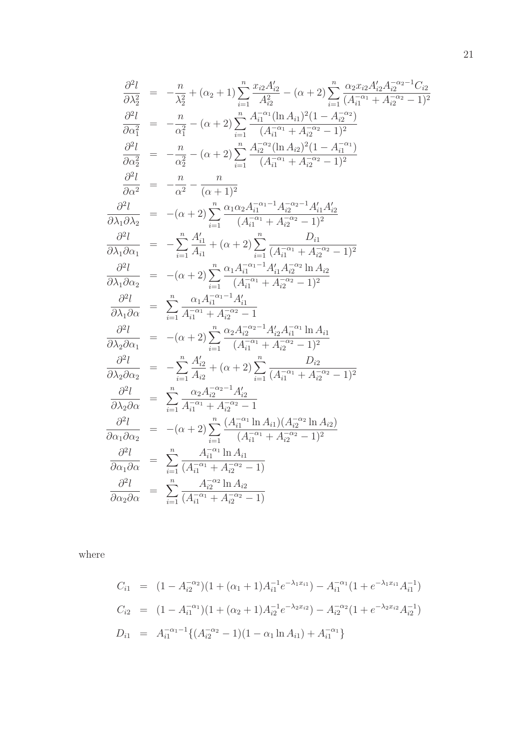$$
\frac{\partial^2 l}{\partial \lambda_2^2} = -\frac{n}{\lambda_2^2} + (\alpha_2 + 1) \sum_{i=1}^n \frac{x_{i2} A_{i2}'}{A_{i2}^2} - (\alpha + 2) \sum_{i=1}^n \frac{\alpha_2 x_{i2} A_{i2} A_{i2}^{-\alpha_2 - 1} C_{i2}}{A_{i1}^{-\alpha_1} + A_{i2}^{-\alpha_2} - 1)^2}
$$
\n
$$
\frac{\partial^2 l}{\partial \alpha_1^2} = -\frac{n}{\alpha_1^2} - (\alpha + 2) \sum_{i=1}^n \frac{A_{i1}^{-\alpha_1} (\ln A_{i1})^2 (1 - A_{i2}^{-\alpha_2})}{(A_{i1}^{-\alpha_1} + A_{i2}^{-\alpha_2} - 1)^2}
$$
\n
$$
\frac{\partial^2 l}{\partial \alpha_2^2} = -\frac{n}{\alpha_2^2} - (\alpha + 2) \sum_{i=1}^n \frac{A_{i2}^{-\alpha_2} (\ln A_{i2})^2 (1 - A_{i1}^{-\alpha_1})}{(A_{i1}^{-\alpha_1} + A_{i2}^{-\alpha_2} - 1)^2}
$$
\n
$$
\frac{\partial^2 l}{\partial \alpha^2} = -\frac{n}{\alpha^2} - \frac{n}{(\alpha + 1)^2}
$$
\n
$$
\frac{\partial^2 l}{\partial \lambda_1 \partial \lambda_2} = -(\alpha + 2) \sum_{i=1}^n \frac{\alpha_1 \alpha_2 A_{i1}^{-\alpha_1 - 1} A_{i2}^{-\alpha_2 - 1} A_{i1}' A_{i2}'}{(A_{i1}^{-\alpha_1} + A_{i2}^{-\alpha_2} - 1)^2}
$$
\n
$$
\frac{\partial^2 l}{\partial \lambda_1 \partial \alpha_1} = -\sum_{i=1}^n \frac{A'_{i1}}{A_{i1}} + (\alpha + 2) \sum_{i=1}^n \frac{D_{i1}}{(A_{i1}^{-\alpha_1} + A_{i2}^{-\alpha_2} - 1)^2}
$$
\n
$$
\frac{\partial^2 l}{\partial \lambda_1 \partial \alpha_2} = -(\alpha + 2) \sum_{i=1}^n \frac{\alpha_1 A_{i1}^{-\alpha_1 - 1} A'_{i1} A_{i2}^{-\alpha_2 -
$$

where

$$
C_{i1} = (1 - A_{i2}^{-\alpha_2})(1 + (\alpha_1 + 1)A_{i1}^{-1}e^{-\lambda_1 x_{i1}}) - A_{i1}^{-\alpha_1}(1 + e^{-\lambda_1 x_{i1}}A_{i1}^{-1})
$$
  
\n
$$
C_{i2} = (1 - A_{i1}^{-\alpha_1})(1 + (\alpha_2 + 1)A_{i2}^{-1}e^{-\lambda_2 x_{i2}}) - A_{i2}^{-\alpha_2}(1 + e^{-\lambda_2 x_{i2}}A_{i2}^{-1})
$$
  
\n
$$
D_{i1} = A_{i1}^{-\alpha_1 - 1}\{(A_{i2}^{-\alpha_2} - 1)(1 - \alpha_1 \ln A_{i1}) + A_{i1}^{-\alpha_1}\}
$$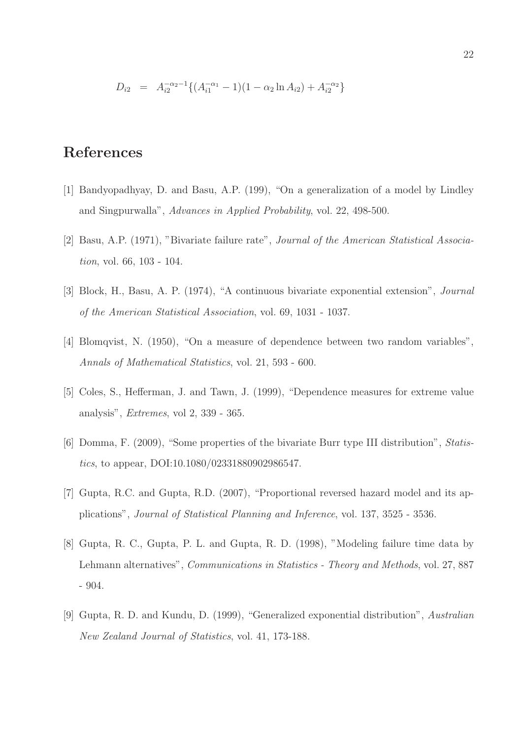$$
D_{i2} = A_{i2}^{-\alpha_2 - 1} \{ (A_{i1}^{-\alpha_1} - 1)(1 - \alpha_2 \ln A_{i2}) + A_{i2}^{-\alpha_2} \}
$$

## References

- [1] Bandyopadhyay, D. and Basu, A.P. (199), "On a generalization of a model by Lindley and Singpurwalla", Advances in Applied Probability, vol. 22, 498-500.
- [2] Basu, A.P. (1971), "Bivariate failure rate", Journal of the American Statistical Association, vol. 66, 103 - 104.
- [3] Block, H., Basu, A. P. (1974), "A continuous bivariate exponential extension", Journal of the American Statistical Association, vol. 69, 1031 - 1037.
- [4] Blomqvist, N. (1950), "On a measure of dependence between two random variables", Annals of Mathematical Statistics, vol. 21, 593 - 600.
- [5] Coles, S., Hefferman, J. and Tawn, J. (1999), "Dependence measures for extreme value analysis", Extremes, vol 2, 339 - 365.
- [6] Domma, F. (2009), "Some properties of the bivariate Burr type III distribution", Statistics, to appear, DOI:10.1080/02331880902986547.
- [7] Gupta, R.C. and Gupta, R.D. (2007), "Proportional reversed hazard model and its applications", Journal of Statistical Planning and Inference, vol. 137, 3525 - 3536.
- [8] Gupta, R. C., Gupta, P. L. and Gupta, R. D. (1998), "Modeling failure time data by Lehmann alternatives", Communications in Statistics - Theory and Methods, vol. 27, 887 - 904.
- [9] Gupta, R. D. and Kundu, D. (1999), "Generalized exponential distribution", Australian New Zealand Journal of Statistics, vol. 41, 173-188.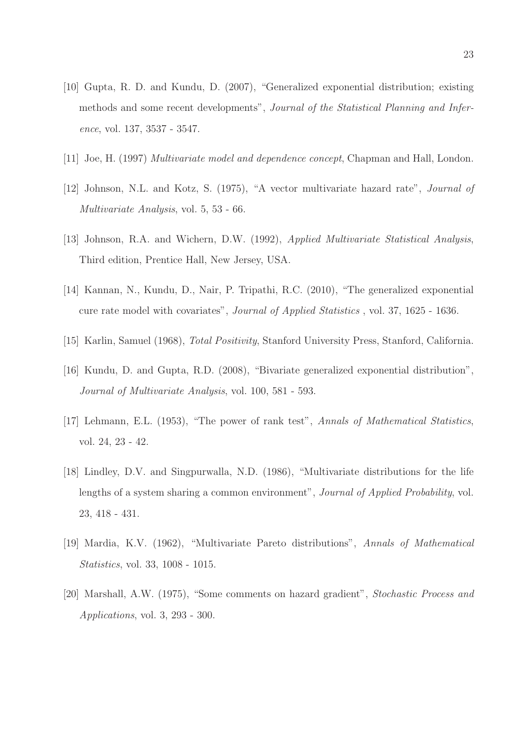- [10] Gupta, R. D. and Kundu, D. (2007), "Generalized exponential distribution; existing methods and some recent developments", Journal of the Statistical Planning and Inference, vol. 137, 3537 - 3547.
- [11] Joe, H. (1997) Multivariate model and dependence concept, Chapman and Hall, London.
- [12] Johnson, N.L. and Kotz, S. (1975), "A vector multivariate hazard rate", Journal of Multivariate Analysis, vol. 5, 53 - 66.
- [13] Johnson, R.A. and Wichern, D.W. (1992), Applied Multivariate Statistical Analysis, Third edition, Prentice Hall, New Jersey, USA.
- [14] Kannan, N., Kundu, D., Nair, P. Tripathi, R.C. (2010), "The generalized exponential cure rate model with covariates", Journal of Applied Statistics , vol. 37, 1625 - 1636.
- [15] Karlin, Samuel (1968), Total Positivity, Stanford University Press, Stanford, California.
- [16] Kundu, D. and Gupta, R.D. (2008), "Bivariate generalized exponential distribution", Journal of Multivariate Analysis, vol. 100, 581 - 593.
- [17] Lehmann, E.L. (1953), "The power of rank test", Annals of Mathematical Statistics, vol. 24, 23 - 42.
- [18] Lindley, D.V. and Singpurwalla, N.D. (1986), "Multivariate distributions for the life lengths of a system sharing a common environment", *Journal of Applied Probability*, vol. 23, 418 - 431.
- [19] Mardia, K.V. (1962), "Multivariate Pareto distributions", Annals of Mathematical Statistics, vol. 33, 1008 - 1015.
- [20] Marshall, A.W. (1975), "Some comments on hazard gradient", Stochastic Process and Applications, vol. 3, 293 - 300.